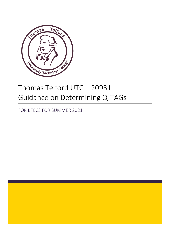

## Thomas Telford UTC – 20931 Guidance on Determining Q-TAGs

FOR BTECS FOR SUMMER 2021

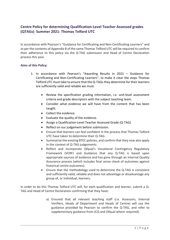## **Centre Policy for determining Qualification-Level Teacher Assessed grades (QTAGs) Summer 2021: Thomas Telford UTC**

In accordance with Pearson's "Guidance for Certificating and Non-Certificating Learners" and as per the contents of Appendix B of the same Thomas Telford UTC will be required to confirm their adherence to this policy via the Q-TAG submission and Head of Centre Declaration process this year.

## **Aims of this Policy:**

- 1. In accordance with Pearson's "Awarding Results in 2021 Guidance for Certificating and Non-Certificating Learners", to make it clear the steps Thomas Telford UTC must take to ensure that the Q-TAGs they determine for their learners are sufficiently valid and reliable we must:
	- Review the specification grading information, i.e. unit-level assessment criteria and grade descriptors with the subject teaching team.
	- Consider what evidence we will have from the content that has been taught.
	- Collect the evidence.
	- Evaluate the quality of the evidence.
	- Assign a Qualification-Level Teacher Assessed Grade (Q-TAG)
	- Reflect on our judgement before submission.
	- Ensure that learners can feel confident in the process that Thomas Telford UTC have taken to determine their Q-TAG.
	- Summarise the existing BTEC policies, and confirm that they now also apply in the context of Q-TAG judgements.
	- Reflect and incorporate Qfqual's Vocational Contingency Regulatory Framework (VCRF) and Guidance that any Q-TAG is based upon appropriate sources of evidence and has gone through an Internal Quality Assurance process (which includes final sense check of outcomes against historical centre outcomes).
	- Ensure that the methodology used to determine the Q-TAG is consistent and sufficiently valid, reliable and does not advantage or disadvantage any group of, or individual, learners.

In order to do this Thomas Telford UTC will, for each qualification and learner, submit a Q-TAG and Head of Centre Declaration confirming that they have:

> a) Ensured that all relevant teaching staff (i.e. Assessors, Internal Verifiers, Heads of Department and Heads of Centre) will use the guidance provided by Pearson to confirm the Q-TAG, and refer to supplementary guidance from JCQ and Ofqual where required).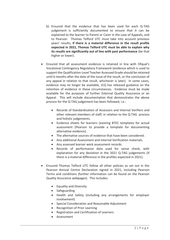- b) Ensured that the evidence that has been used for each Q-TAG judgement is sufficiently documented to ensure that it can be explained to the learner to Parent or Carer in the case of Appeals, and to Pearson. Thomas Telford UTC must take into account previous years' results, **if there is a material difference in the result profile expected in 2021, Thomas Telford UTC must be able to explain why its results are significantly out of line with past performance** (be that higher or lower).
- Ensured that all assessment evidence is retained in line with Ofqual's Vocational Contingency Regulatory Framework (evidence which is used to support the Qualification-Level Teacher Assessed Grade should be retained until 6 months after the date of the issue of the result, or the conclusion of any appeal in relation to that result, whichever is later). In some cases, evidence may no longer be available, JCQ has released guidance on the retention of evidence in these circumstances. Evidence must be made available for the purposes of further External Quality Assurance or an Appeal. This will include documentation that demonstrates the above process for the Q-TAG judgement has been followed, i.e.:
	- Records of Standardisation of Assessors and Internal Verifiers and other relevant members of staff, in relation to the Q-TAG process and holistic judgements.
	- Evidence sheets for learners (existing BTEC templates for actual assessment (Pearson to provide a template for documenting alternative evidence).
	- The alternative sources of evidence that have been considered.
	- Any additional Assessment and Internal Verification materials.
	- Any assessed learner work assessment records.
	- Records of performance data used for sense check, with explanation for any deviation in the 2021 Q-TAG judgements (if there is a material difference in the profiles expected in 2021).
- Ensured Thomas Telford UTC follow all other policies as set out in the Pearson Annual Centre Declaration signed in 2021, including Pearson Terms and conditions (further information can be found on the Pearson Quality Assurance webpages). This includes:
	- Equality and Diversity
	- Safeguarding
	- Health and Safety (including any arrangements for employer involvement)
	- Special Consideration and Reasonable Adjustment
	- Recognition of Prior Learning
	- Registration and Certification of Learners
	- Assessment